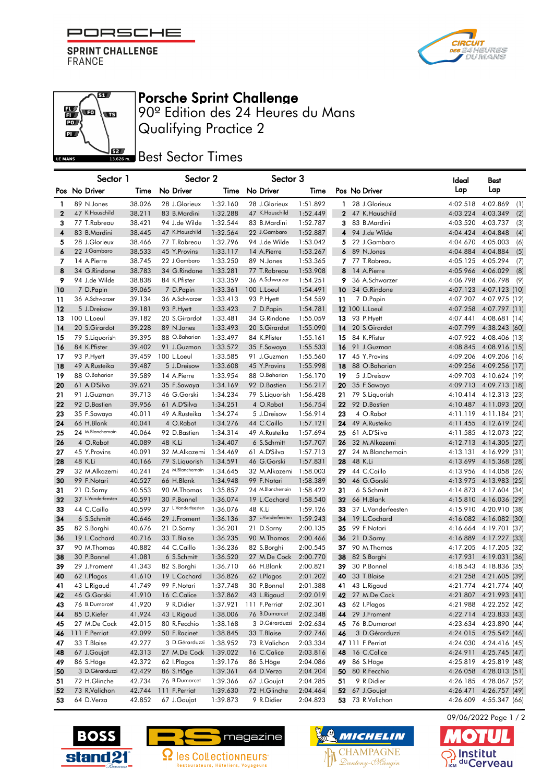

**SPRINT CHALLENGE** FRANCE

a)

 $\frac{1}{10}$ **lu** 

 $\mathbf{p}$ 

LE MANS



## Porsche Sprint Challenge

Qualifying Practice 2 90º Edition des 24 Heures du Mans

**Best** Best Sector Times

|              | Sector 1           |        | Sector 2           |          | Sector 3           |          |                          | ldeal    | Best                   |
|--------------|--------------------|--------|--------------------|----------|--------------------|----------|--------------------------|----------|------------------------|
|              | Pos No Driver      | Time   | No Driver          | Time     | No Driver          | Time     | Pos No Driver            | Lap      | Lap                    |
| 1            | 89 N.Jones         | 38.026 | 28 J.Glorieux      | 1:32.160 | 28 J.Glorieux      | 1:51.892 | 1 28 J.Glorieux          | 4:02.518 | 4:02.869<br>(1)        |
| $\mathbf{2}$ | 47 K.Hauschild     | 38.211 | 83 B.Mardini       | 1:32.288 | 47 K.Hauschild     | 1:52.449 | 2 47 K.Hauschild         | 4:03.224 | 4:03.349<br>(2)        |
| 3            | 77 T.Rabreau       | 38.421 | 94 J.de Wilde      | 1:32.544 | 83 B.Mardini       | 1:52.787 | 3 83 B.Mardini           | 4:03.520 | 4:03.737<br>(3)        |
| 4            | 83 B.Mardini       | 38.445 | 47 K.Hauschild     | 1:32.564 | 22 J.Gambaro       | 1:52.887 | 4 94 J.de Wilde          | 4:04.424 | 4:04.848<br>(4)        |
| 5            | 28 J.Glorieux      | 38.466 | 77 T.Rabreau       | 1:32.796 | 94 J.de Wilde      | 1:53.042 | 5 22 J.Gambaro           | 4:04.670 | 4:05.003<br>(6)        |
| 6            | 22 J.Gambaro       | 38.533 | 45 Y. Provins      | 1:33.117 | 14 A.Pierre        | 1:53.267 | 6 89 N.Jones             | 4:04.884 | 4:04.884<br>(5)        |
| 7            | 14 A.Pierre        | 38.745 | 22 J.Gambaro       | 1:33.250 | 89 N.Jones         | 1:53.365 | 7 77 T.Rabreau           | 4:05.125 | 4:05.294<br>(7)        |
| 8            | 34 G.Rindone       | 38.783 | 34 G.Rindone       | 1:33.281 | 77 T.Rabreau       | 1:53.908 | 8<br>14 A.Pierre         | 4:05.966 | 4:06.029<br>(8)        |
| 9            | 94 J.de Wilde      | 38.838 | 84 K. Pfister      | 1:33.359 | 36 A.Schwarzer     | 1:54.251 | 9.<br>36 A.Schwarzer     | 4:06.798 | 4:06.798<br>(9)        |
| 10           | 7 D.Papin          | 39.065 | 7 D.Papin          | 1:33.361 | 100 L.Loeul        | 1:54.491 | 10<br>34 G.Rindone       | 4:07.123 | 4:07.123 (10)          |
| 11           | 36 A.Schwarzer     | 39.134 | 36 A.Schwarzer     | 1:33.413 | 93 P.Hyett         | 1:54.559 | 11<br>7 D.Papin          | 4:07.207 | 4:07.975 (12)          |
| 12           | 5 J.Dreisow        | 39.181 | 93 P.Hyett         | 1:33.423 | 7 D.Papin          | 1:54.781 | 12 100 L. Loeul          | 4:07.258 | 4:07.797 (11)          |
| 13           | 100 L.Loeul        | 39.182 | 20 S.Girardot      | 1:33.481 | 34 G.Rindone       | 1:55.059 | 13<br>93 P.Hyett         | 4:07.441 | 4:08.681 (14)          |
| 14           | 20 S.Girardot      | 39.228 | 89 N.Jones         | 1:33.493 | 20 S.Girardot      | 1:55.090 | 20 S.Girardot<br>14      | 4:07.799 | 4:38.243 (60)          |
| 15           | 79 S.Liquorish     | 39.395 | 88 O.Baharian      | 1:33.497 | 84 K.Pfister       | 1:55.161 | 15<br>84 K.Pfister       | 4:07.922 | 4:08.406 (13)          |
| 16           | 84 K. Pfister      | 39.402 | 91 J.Guzman        | 1:33.572 | 35 F.Sawaya        | 1:55.533 | 16<br>91 J.Guzman        | 4:08.845 | 4:08.916 (15)          |
| 17           | 93 P.Hyett         | 39.459 | 100 L.Loeul        | 1:33.585 | 91 J.Guzman        | 1:55.560 | 17<br>45 Y.Provins       | 4:09.206 | 4:09.206 (16)          |
| 18           | 49 A.Rusteika      | 39.487 | 5 J.Dreisow        | 1:33.608 | 45 Y.Provins       | 1:55.998 | 18<br>88 O.Baharian      | 4:09.256 | 4:09.256 (17)          |
| 19           | 88 O.Baharian      | 39.589 | 14 A.Pierre        | 1:33.954 | 88 O.Baharian      | 1:56.170 | 19<br>5 J.Dreisow        | 4:09.703 | 4:10.624 (19)          |
| 20           | 61 A.D'Silva       | 39.621 | 35 F.Sawaya        | 1:34.169 | 92 D.Bastien       | 1:56.217 | 20<br>35 F.Sawaya        | 4:09.713 | 4:09.713 (18)          |
| 21           | 91 J.Guzman        | 39.713 | 46 G.Gorski        | 1:34.234 | 79 S.Liquorish     | 1:56.428 | 21<br>79 S.Liquorish     | 4:10.414 | 4:12.313 (23)          |
| 22           | 92 D.Bastien       | 39.956 | 61 A.D'Silva       | 1:34.251 | 4 O.Rabot          | 1:56.754 | 92 D.Bastien<br>22       | 4:10.487 | 4:11.093 (20)          |
| 23           | 35 F.Sawaya        | 40.011 | 49 A.Rusteika      | 1:34.274 | 5 J.Dreisow        | 1:56.914 | 23<br>4 O.Rabot          |          | 4:11.119 4:11.184 (21) |
| 24           | 66 H.Blank         | 40.041 | 4 O.Rabot          | 1:34.276 | 44 C.Caillo        | 1:57.121 | 24<br>49 A.Rusteika      | 4:11.455 | 4:12.619 (24)          |
| 25           | 24 M.Blanchemain   | 40.064 | 92 D.Bastien       | 1:34.314 | 49 A.Rusteika      | 1:57.694 | 25<br>61 A.D'Silva       | 4:11.585 | 4:12.073 (22)          |
| 26           | 4 O.Rabot          | 40.089 | 48 K.Li            | 1:34.407 | 6 S.Schmitt        | 1:57.707 | 32 M.Alkazemi<br>26      | 4:12.713 | 4:14.305 (27)          |
| 27           | 45 Y.Provins       | 40.091 | 32 M.Alkazemi      | 1:34.469 | 61 A.D'Silva       | 1:57.713 | 27<br>24 M.Blanchemain   | 4:13.131 | 4:16.929 (31)          |
| 28           | 48 K.Li            | 40.166 | 79 S.Liquorish     | 1:34.591 | 46 G.Gorski        | 1:57.831 | 28<br>48 K.Li            | 4:13.699 | 4:15.368 (28)          |
| 29           | 32 M.Alkazemi      | 40.241 | 24 M.Blanchemain   | 1:34.645 | 32 M.Alkazemi      | 1:58.003 | 44 C.Caillo<br>29        | 4:13.956 | 4:14.058 (26)          |
| 30           | 99 F.Notari        | 40.527 | 66 H.Blank         | 1:34.948 | 99 F.Notari        | 1:58.389 | 46 G.Gorski<br>30        | 4:13.975 | 4:13.983 (25)          |
| 31           | 21 D.Sarny         | 40.553 | 90 M.Thomas        | 1:35.857 | 24 M.Blanchemain   | 1:58.422 | 31<br>6 S.Schmitt        | 4:14.873 | 4:17.604 (34)          |
| 32           | 37 L.Vanderfeesten | 40.591 | 30 P.Bonnel        | 1:36.074 | 19 L.Cochard       | 1:58.540 | 66 H.Blank<br>32         | 4:15.810 | 4:16.036 (29)          |
| 33           | 44 C.Caillo        | 40.599 | 37 L.Vanderfeesten | 1:36.076 | 48 K.Li            | 1:59.126 | 33<br>37 L.Vanderfeesten | 4:15.910 | 4:20.910 (38)          |
| 34           | 6 S.Schmitt        | 40.646 | 29 J.Froment       | 1:36.136 | 37 L.Vanderfeesten | 1:59.243 | 34<br>19 L.Cochard       | 4:16.082 | 4:16.082 (30)          |
| 35           | 82 S.Borghi        | 40.676 | 21 D.Sarny         | 1:36.201 | 21 D.Sarny         | 2:00.135 | 99 F.Notari<br>35        | 4:16.664 | 4:19.701 (37)          |
| 36           | 19 L.Cochard       | 40.716 | 33 T.Blaise        | 1:36.235 | 90 M.Thomas        | 2:00.466 | 36<br>21 D.Sarny         | 4:16.889 | 4:17.227 (33)          |
| 37           | 90 M.Thomas        | 40.882 | 44 C.Caillo        | 1:36.236 | 82 S.Borghi        | 2:00.545 | 37<br>90 M.Thomas        | 4:17.205 | 4:17.205 (32)          |
| 38           | 30 P.Bonnel        | 41.081 | 6 S.Schmitt        | 1:36.520 | 27 M.De Cock       | 2:00.770 | 38<br>82 S.Borghi        | 4:17.931 | 4:19.031 (36)          |
| 39           | 29 J.Froment       | 41.343 | 82 S.Borghi        | 1:36.710 | 66 H.Blank         | 2:00.821 | 39<br>30 P.Bonnel        | 4:18.543 | 4:18.836 (35)          |
| 40           | 62 I.Plagos        | 41.610 | 19 L.Cochard       | 1:36.826 | 62 I.Plagos        | 2:01.202 | 33 T.Blaise<br>40        | 4:21.258 | 4:21.605 (39)          |
| 41           | 43 L.Rigaud        | 41.749 | 99 F.Notari        | 1:37.748 | 30 P.Bonnel        | 2:01.388 | 43 L.Rigaud<br>41        |          | 4:21.774 4:21.774 (40) |
| 42           | 46 G.Gorski        | 41.910 | 16 C.Calice        | 1:37.862 | 43 L.Rigaud        | 2:02.019 | <b>42</b> 27 M.De Cock   |          | 4:21.807 4:21.993 (41) |
| 43           | 76 B.Dumarcet      | 41.920 | 9 R.Didier         | 1:37.921 | 111 F.Perriat      | 2:02.301 | <b>43</b> 62 I.Plagos    |          | 4:21.988 4:22.252 (42) |
| 44           | 85 D.Kiefer        | 41.924 | 43 L.Rigaud        | 1:38.006 | 76 B.Dumarcet      | 2:02.348 | 29 J.Froment<br>44       |          | 4:22.714 4:23.833 (43) |
| 45           | 27 M.De Cock       | 42.015 | 80 R.Fecchio       | 1:38.168 | 3 D.Gérarduzzi     | 2:02.634 | 76 B.Dumarcet<br>45      |          | 4:23.634 4:23.890 (44) |
| 46           | 111 F.Perriat      | 42.099 | 50 F.Racinet       | 1:38.845 | 33 T.Blaise        | 2:02.746 | 3 D.Gérarduzzi<br>46     |          | 4:24.015 4:25.542 (46) |
| 47           | 33 T.Blaise        | 42.277 | 3 D.Gérarduzzi     | 1:38.952 | 73 R.Valichon      | 2:03.334 | 47 111 F.Perriat         |          | 4:24.030 4:24.416 (45) |
| 48           | 67 J.Goujat        | 42.313 | 27 M.De Cock       | 1:39.022 | 16 C.Calice        | 2:03.816 | 48 16 C.Calice           |          | 4:24.911 4:25.745 (47) |
| 49           | 86 S.Höge          | 42.372 | 62 I.Plagos        | 1:39.176 | 86 S.Höge          | 2:04.086 | 49<br>86 S.Höge          | 4:25.819 | 4:25.819 (48)          |
| 50           | 3 D.Gérarduzzi     | 42.429 | 86 S.Höge          | 1:39.361 | 64 D.Verza         | 2:04.204 | 80 R.Fecchio<br>50       |          | 4:26.058 4:28.013 (51) |
| 51           | 72 H.Glinche       | 42.734 | 76 B.Dumarcet      | 1:39.366 | 67 J.Goujat        | 2:04.285 | 51<br>9 R.Didier         |          | 4:26.185 4:28.067 (52) |
| 52           | 73 R.Valichon      | 42.744 | 111 F.Perriat      | 1:39.630 | 72 H.Glinche       | 2:04.464 | <b>52</b> 67 J.Goujat    | 4:26.471 | 4:26.757 (49)          |
| 53           | 64 D.Verza         | 42.852 | 67 J.Goujat        | 1:39.873 | 9 R.Didier         | 2:04.823 | 53 73 R. Valichon        |          | 4:26.609 4:55.347 (66) |